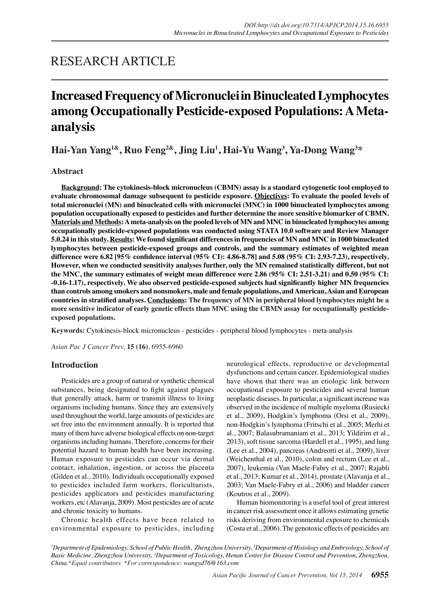# RESEARCH ARTICLE

# **Increased Frequency of Micronuclei in Binucleated Lymphocytes among Occupationally Pesticide-exposed Populations: A Metaanalysis**

**Hai-Yan Yang1&, Ruo Feng2&, Jing Liu1 , Hai-Yu Wang<sup>3</sup> , Ya-Dong Wang<sup>3</sup> \***

# **Abstract**

**Background: The cytokinesis-block micronucleus (CBMN) assay is a standard cytogenetic tool employed to evaluate chromosomal damage subsequent to pesticide exposure. Objectives: To evaluate the pooled levels of total micronuclei (MN) and binucleated cells with micronuclei (MNC) in 1000 binucleated lymphocytes among population occupationally exposed to pesticides and further determine the more sensitive biomarker of CBMN. Materials and Methods: A meta-analysis on the pooled levels of MN and MNC in binucleated lymphocytes among occupationally pesticide-exposed populations was conducted using STATA 10.0 software and Review Manager 5.0.24 in this study. Results: We found significant differences in frequencies of MN and MNC in 1000 binucleated lymphocytes between pesticide-exposed groups and controls, and the summary estimates of weighted mean difference were 6.82 [95% confidence interval (95% CI): 4.86-8.78] and 5.08 (95% CI: 2.93-7.23), respectively. However, when we conducted sensitivity analyses further, only the MN remained statistically different, but not the MNC, the summary estimates of weight mean difference were 2.86 (95% CI: 2.51-3.21) and 0.50 (95% CI: -0.16-1.17), respectively. We also observed pesticide-exposed subjects had significantly higher MN frequencies than controls among smokers and nonsmokers, male and female populations, and American, Asian and European countries in stratified analyses. Conclusions: The frequency of MN in peripheral blood lymphocytes might be a more sensitive indicator of early genetic effects than MNC using the CBMN assay for occupationally pesticideexposed populations.**

**Keywords:** Cytokinesis-block micronucleus - pesticides - peripheral blood lymphocytes - meta-analysis

*Asian Pac J Cancer Prev,* **15 (16)**, 6955-6960

## **Introduction**

Pesticides are a group of natural or synthetic chemical substances, being designated to fight against plagues that generally attack, harm or transmit illness to living organisms including humans. Since they are extensively used throughout the world, large amounts of pesticides are set free into the environment annually. It is reported that many of them have adverse biological effects on non-target organisms including humans. Therefore, concerns for their potential hazard to human health have been increasing. Human exposure to pesticides can occur via dermal contact, inhalation, ingestion, or across the placenta (Gilden et al., 2010). Individuals occupationally exposed to pesticides included farm workers, floriculturists, pesticides applicators and pesticides manufacturing workers, etc (Alavanja, 2009). Most pesticides are of acute and chronic toxicity to humans.

Chronic health effects have been related to environmental exposure to pesticides, including

neurological effects, reproductive or developmental dysfunctions and certain cancer. Epidemiological studies have shown that there was an etiologic link between occupational exposure to pesticides and several human neoplastic diseases. In particular, a significant increase was observed in the incidence of multiple myeloma (Rusiecki et al., 2009), Hodgkin's lymphoma (Orsi et al., 2009), non-Hodgkin's lymphoma (Fritschi et al., 2005; Merhi et al., 2007; Balasubramaniam et al., 2013; Yildirim et al., 2013), soft tissue sarcoma (Hardell et al., 1995), and lung (Lee et al., 2004), pancreas (Andreotti et al., 2009), liver (Weichenthal et al., 2010), colon and rectum (Lee et al., 2007), leukemia (Van Maele-Fabry et al., 2007; Rajabli et al., 2013; Kumar et al., 2014), prostate (Alavanja et al., 2003; Van Maele-Fabry et al., 2006) and bladder cancer (Koutros et al., 2009).

Human biomonitoring is a useful tool of great interest in cancer risk assessment once it allows estimating genetic risks deriving from environmental exposure to chemicals (Costa et al., 2006). The genotoxic effects of pesticides are

*1 Department of Epidemiology, School of Public Health, Zhengzhou University, 2 Department of Histology and Embryology, School of Basic Medicine, Zhengzhou University, 3 Department of Toxicology, Henan Center for Disease Control and Prevention, Zhengzhou, China &Equal contributors \*For correspondence: wangyd76@163.com*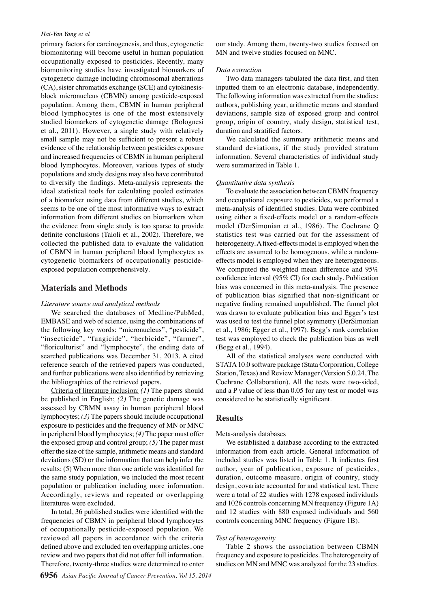#### *Hai-Yan Yang et al*

primary factors for carcinogenesis, and thus, cytogenetic biomonitoring will become useful in human population occupationally exposed to pesticides. Recently, many biomonitoring studies have investigated biomarkers of cytogenetic damage including chromosomal aberrations (CA), sister chromatids exchange (SCE) and cytokinesisblock micronucleus (CBMN) among pesticide-exposed population. Among them, CBMN in human peripheral blood lymphocytes is one of the most extensively studied biomarkers of cytogenetic damage (Bolognesi et al., 2011). However, a single study with relatively small sample may not be sufficient to present a robust evidence of the relationship between pesticides exposure and increased frequencies of CBMN in human peripheral blood lymphocytes. Moreover, various types of study populations and study designs may also have contributed to diversify the findings. Meta-analysis represents the ideal statistical tools for calculating pooled estimates of a biomarker using data from different studies, which seems to be one of the most informative ways to extract information from different studies on biomarkers when the evidence from single study is too sparse to provide definite conclusions (Taioli et al., 2002). Therefore, we collected the published data to evaluate the validation of CBMN in human peripheral blood lymphocytes as cytogenetic biomarkers of occupationally pesticideexposed population comprehensively.

## **Materials and Methods**

#### *Literature source and analytical methods*

We searched the databases of Medline/PubMed, EMBASE and web of science, using the combinations of the following key words: "micronucleus", "pesticide", "insecticide", "fungicide", "herbicide", "farmer", "floriculturist" and "lymphocyte", the ending date of searched publications was December 31, 2013. A cited reference search of the retrieved papers was conducted, and further publications were also identified by retrieving the bibliographies of the retrieved papers.

Criteria of literature inclusion: *(1)* The papers should be published in English; *(2)* The genetic damage was assessed by CBMN assay in human peripheral blood lymphocytes; *(3)* The papers should include occupational exposure to pesticides and the frequency of MN or MNC in peripheral blood lymphocytes; *(4)* The paper must offer the exposed group and control group; *(5)* The paper must offer the size of the sample, arithmetic means and standard deviations (SD) or the information that can help infer the results; (5) When more than one article was identified for the same study population, we included the most recent population or publication including more information. Accordingly, reviews and repeated or overlapping literatures were excluded.

In total, 36 published studies were identified with the frequencies of CBMN in peripheral blood lymphocytes of occupationally pesticide-exposed population. We reviewed all papers in accordance with the criteria defined above and excluded ten overlapping articles, one review and two papers that did not offer full information. Therefore, twenty-three studies were determined to enter

our study. Among them, twenty-two studies focused on MN and twelve studies focused on MNC.

#### *Data extraction*

Two data managers tabulated the data first, and then inputted them to an electronic database, independently. The following information was extracted from the studies: authors, publishing year, arithmetic means and standard deviations, sample size of exposed group and control group, origin of country, study design, statistical test, duration and stratified factors.

We calculated the summary arithmetic means and standard deviations, if the study provided stratum information. Several characteristics of individual study were summarized in Table 1.

#### *Quantitative data synthesis*

To evaluate the association between CBMN frequency and occupational exposure to pesticides, we performed a meta-analysis of identified studies. Data were combined using either a fixed-effects model or a random-effects model (DerSimonian et al., 1986). The Cochrane Q statistics test was carried out for the assessment of heterogeneity. A fixed-effects model is employed when the effects are assumed to be homogenous, while a randomeffects model is employed when they are heterogeneous. We computed the weighted mean difference and 95% confidence interval (95% CI) for each study. Publication bias was concerned in this meta-analysis. The presence of publication bias signified that non-significant or negative finding remained unpublished. The funnel plot was drawn to evaluate publication bias and Egger's test was used to test the funnel plot symmetry (DerSimonian et al., 1986; Egger et al., 1997). Begg's rank correlation test was employed to check the publication bias as well (Begg et al., 1994).

All of the statistical analyses were conducted with STATA 10.0 software package (Stata Corporation, College Station, Texas) and Review Manager (Version 5.0.24, The Cochrane Collaboration). All the tests were two-sided, and a P value of less than 0.05 for any test or model was considered to be statistically significant.

#### **Results**

#### Meta-analysis databases

We established a database according to the extracted information from each article. General information of included studies was listed in Table 1. It indicates first author, year of publication, exposure of pesticides, duration, outcome measure, origin of country, study design, covariate accounted for and statistical test. There were a total of 22 studies with 1278 exposed individuals and 1026 controls concerning MN frequency (Figure 1A) and 12 studies with 880 exposed individuals and 560 controls concerning MNC frequency (Figure 1B).

#### *Test of heterogeneity*

Table 2 shows the association between CBMN frequency and exposure to pesticides. The heterogeneity of studies on MN and MNC was analyzed for the 23 studies.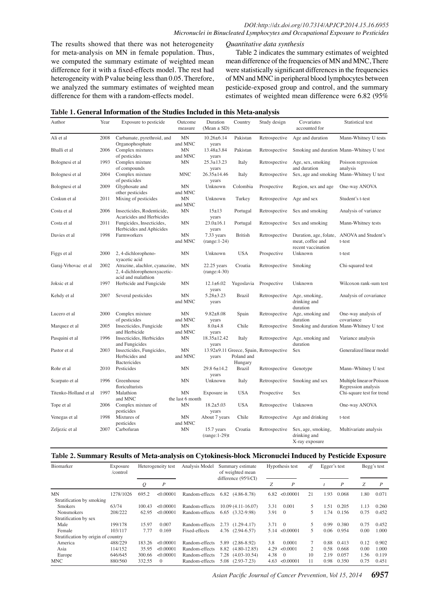The results showed that there was not heterogeneity for meta-analysis on MN in female population. Thus, we computed the summary estimate of weighted mean difference for it with a fixed-effects model. The rest had heterogeneity with P value being less than 0.05. Therefore, we analyzed the summary estimates of weighted mean difference for them with a random-effects model.

*Quantitative data synthesis*

Table 2 indicates the summary estimates of weighted mean difference of the frequencies of MN and MNC, There were statistically significant differences in the frequencies of MN and MNC in peripheral blood lymphocytes between pesticide-exposed group and control, and the summary estimates of weighted mean difference were 6.82 (95%

|  |  | Table 1. General Information of the Studies Included in this Meta-analysis |  |  |
|--|--|----------------------------------------------------------------------------|--|--|
|--|--|----------------------------------------------------------------------------|--|--|

| Author                | Year | Exposure to pesticide                                                               | Outcome<br>measure     | Duration<br>$(Mean \pm SD)$           | Country                          | Study design                                                      | Covariates<br>accounted for                                | Statistical test                                  |            |  |
|-----------------------|------|-------------------------------------------------------------------------------------|------------------------|---------------------------------------|----------------------------------|-------------------------------------------------------------------|------------------------------------------------------------|---------------------------------------------------|------------|--|
| Ali et al             | 2008 | Carbamate, pyrethroid, and<br>Organophosphate                                       | MN<br>and MNC          | $10.26 \pm 6.14$<br>years             | Pakistan                         | Retrospective                                                     | Age and duration                                           | Mann-Whitney U tests                              |            |  |
| Bhalli et al          | 2006 | Complex mixtures<br>of pesticides                                                   | MN<br>and MNC          | 13.48±3.84<br>years                   | Pakistan                         | Retrospective                                                     |                                                            | Smoking and duration Mann-Whitney U test          |            |  |
| Bolognesi et al       | 1993 | Complex mixture<br>of compounds                                                     | <b>MN</b>              | $25.3 \pm 13.23$<br>years             | Italy                            | Retrospective                                                     | Age, sex, smoking<br>and duration                          | Poisson regression<br>analysis                    |            |  |
| Bolognesi et al       | 2004 | Complex mixture<br>of pesticides                                                    | <b>MNC</b>             | $26.35 \pm 14.46$<br>years            | Italy                            | Retrospective                                                     |                                                            | Sex, age and smoking Mann-Whitney U test          |            |  |
| Bolognesi et al       | 2009 | Glyphosate and<br>other pesticides                                                  | MN<br>and MNC          | Unknown                               | Colombia                         | Prospective                                                       | Region, sex and age                                        | One-way ANOVA                                     | 100.0      |  |
| Coskun et al          | 2011 | Mixing of pesticides                                                                | <b>MN</b><br>and MNC   | U <sub>1</sub> 100YO                  | Turkey                           | Retrospective Age and sex                                         |                                                            | Student's t-test                                  |            |  |
| Costa et al           | 2006 | Insecticides, Rodenticide,<br>Acaricides and Herbicides                             | <b>MN</b>              | $15+13$<br>years                      |                                  |                                                                   | Portuga <b>6.3</b> Retrospe <b>10e1</b> \$ex and analyting | Analysis of variance                              |            |  |
| Costa et al           | 2011 | Fungicides, Insecticides,<br>Herbicides and Aphicides                               | MN                     | $23.0 \pm 16.1$<br>yz <sub>45.0</sub> | Portugal                         | Retrospective                                                     | Sex and smoking                                            | Mann-Whitney tests<br>25.0                        | 7!<br>30.0 |  |
| Davies et al          | 1998 | Farmworkers                                                                         | <b>MN</b><br>and MNC   | 7.33 years<br>$(range:1-24)$          | <b>British</b>                   | Retrospective<br>46.8                                             | Duration, age, folate<br>neat, coffee and                  | ANOVA and Student's<br>t-test                     |            |  |
| Figgs et al.          | 2000 | 2, 4-dichloropheno-<br>xyacetic acid                                                | <b>MN</b>              | Unknown<br>50.0                       | 56.3<br><b>USA</b>               | Prospective                                                       | vaccination<br>ecent<br>Jnknown<br>54.2                    | t-test                                            | 50         |  |
| Garaj-Vrhovac et al   | 2002 | Atrazine, alachlor, cyanazine,<br>2, 4-dichlorophenoxyacetic-<br>acid and malathion | MN                     | $22.25$ years<br>$(range:4-30)$       | Croatia                          | Retrospective                                                     | <b><i><u>Smoking</u></i></b>                               | $31.3$ and test                                   | 30.0       |  |
| Joksic et al          | 1997 | Herbicide and Fungicide                                                             | <b>MN</b>              | $12.1 \pm 6.02$<br>y25.0              |                                  | Yugoslavia Prospective                                            | Jnknown                                                    | Wilcoxon rank-sum test2!                          |            |  |
| Kehdy et al           | 2007 | Several pesticides                                                                  | <b>MN</b><br>and MNC   | $5.28 \pm 3.23$<br>years              | <b>Brazil</b>                    | 1 Retrospe <b>38:0</b>                                            | Age, smoking.<br>lrink<br>$\frac{1}{2}$ 3.7<br>lurat       | is of covariance<br>Analy<br>31.3                 | 30.0       |  |
| Lucero et al          | 2000 | Complex mixture<br>of pesticides                                                    | MN<br>and MNC          | $9.82 \pm 8.08$<br>years 0            | Spain                            | Retrospective                                                     | Age,<br>moking and<br>duration                             | One-way analysis of<br>covariance                 |            |  |
| Marquez et al         | 2005 | Insecticides, Fungicide<br>and Herbicide                                            | <b>MN</b><br>and MNC   | $8.0 + 4.8$<br>years                  | Chile<br>ゼ                       | Retrospective                                                     | Smoking and duration                                       | Mann-Whitney U test                               | None       |  |
| Pasquini et al        | 1996 | Insecticides, Herbicides<br>and Fungicides                                          | <b>MN</b>              | 18.35±12.42                           | Italy                            | $\tilde{\mathbf{E}}$ Retrospecti $\tilde{\mathbf{E}}$             | Age, smolling and<br>duration                              | Viiance analysis                                  |            |  |
| Pastor et al          | 2003 | Insecticides, Fungicides,<br>Herbicides and<br><b>Bactericides</b>                  | MN<br>and MNC          | years                                 | Poland and<br>Hungary $\epsilon$ | years To To To To 13.92±9.11 Greece, Spain, Retrospective<br>with | Ecn<br>Sex<br>৯                                            | <b>C</b> eneralized linear model                  |            |  |
| Rohr et al            | 2010 | Pesticides                                                                          | <b>MN</b>              | 29.8 6±14.2<br>years                  | <b>Brazil</b>                    | $\frac{1}{5}$ Retrospective                                       | $rac{9}{10}$ Genotype                                      | Mann-Whitney U test                               |            |  |
| Scarpato et al        | 1996 | Greenhouse<br>floriculturists                                                       | <b>MN</b>              | Unknown                               | Italy                            | Retrospecti                                                       | Smoking and sex<br>ഄ                                       | Multiple linear or Poisson<br>Regression analysis |            |  |
| Titenko-Holland et al | 1997 | Malathion<br>and MNC                                                                | MN<br>the last 6 month | Exposure in                           | <b>USA</b>                       | $\overline{5}$ Prospective $\overline{5}$                         | Sex                                                        | Chi-square test for trend                         |            |  |
| Tope et al            | 2006 | Complex mixture of<br>pesticides                                                    | <b>MN</b>              | $18.2 \pm 5.03$<br>years              | <b>USA</b>                       | $\geq$ Retrospecti $\mathbb{\mathcal{G}}$                         | Unknown                                                    | One-way ANOVA                                     |            |  |
| Venegas et al         | 1998 | Mixtures of<br>pesticides                                                           | MN<br>and MNC          | About 7 years                         | z<br>Chile                       | Retrospective                                                     | Age and drinking                                           | t-test                                            |            |  |
| Zeljezic et al        | 2007 | Carbofuran                                                                          | <b>MN</b>              | 15.7 years<br>$(range:1-29)t$         | Croatia                          | Retrospective                                                     | Sex, age, smoking,<br>drinking and<br>X-ray exposure       | Multivariate analysis                             |            |  |

#### **Table 2. Summary Results of Meta-analysis on Cytokinesis-block Micronuclei Induced by Pesticide Exposure**

| Biomarker                           | Exposure<br>/control | Heterogeneity test |           | Analysis Model | Summary estimate<br>of weighted mean<br>difference $(95\%CI)$ |      | Hypothesis test | df | Egger's test |       | Begg's test |                  |
|-------------------------------------|----------------------|--------------------|-----------|----------------|---------------------------------------------------------------|------|-----------------|----|--------------|-------|-------------|------------------|
|                                     |                      | $\varrho$          | P         |                |                                                               | Z    | P               |    |              | P     | Z           | $\boldsymbol{P}$ |
| <b>MN</b>                           | 1278/1026            | 695.2              | < 0.00001 | Random-effects | $6.82$ $(4.86-8.78)$                                          | 6.82 | < 0.00001       | 21 | 1.93         | 0.068 | 1.80        | 0.071            |
| Stratification by smoking           |                      |                    |           |                |                                                               |      |                 |    |              |       |             |                  |
| <b>Smokers</b>                      | 63/74                | 100.43             | < 0.00001 | Random-effects | $10.09(4.11-16.07)$                                           | 3.31 | 0.001           | 5. | 1.51         | 0.205 | 1.13        | 0.260            |
| Nonsmokers                          | 208/222              | 62.95              | < 0.00001 | Random-effects | 6.65 (3.32-9.98)                                              | 3.91 | $\overline{0}$  | 5  | 1.74         | 0.156 | 0.75        | 0.452            |
| Stratification by sex               |                      |                    |           |                |                                                               |      |                 |    |              |       |             |                  |
| Male                                | 199/178              | 15.97              | 0.007     | Random-effects | $2.73$ $(1.29-4.17)$                                          | 3.71 | $\overline{0}$  |    | 0.99         | 0.380 | 0.75        | 0.452            |
| Female                              | 103/117              | 7.77               | 0.169     | Fixed-effects  | 4.76 (2.94-6.57)                                              | 5.14 | < 0.00001       | 5. | 0.06         | 0.954 | 0.00        | 1.000            |
| Stratification by origin of country |                      |                    |           |                |                                                               |      |                 |    |              |       |             |                  |
| America                             | 488/229              | 183.26             | < 0.00001 | Random-effects | 5.89 (2.86-8.92)                                              | 3.8  | 0.0001          | 7  | 0.88         | 0.413 | 0.12        | 0.902            |
| Asia                                | 114/152              | 35.95              | < 0.00001 | Random-effects | 8.82 (4.80-12.85)                                             | 4.29 | < 0.0001        | 2  | 0.58         | 0.668 | 0.00        | 1.000            |
| Europe                              | 646/645              | 300.66             | < 0.00001 | Random-effects | $7.28$ $(4.03-10.54)$                                         | 4.38 | $\mathbf{0}$    | 10 | 2.19         | 0.057 | 1.56        | 0.119            |
| <b>MNC</b>                          | 880/560              | 332.55             | $\Omega$  | Random-effects | 5.08 (2.93-7.23)                                              | 4.63 | < 0.00001       | 11 | 0.98         | 0.350 | 0.75        | 0.451            |

*Asian Pacific Journal of Cancer Prevention, Vol 15, 2014* **6957**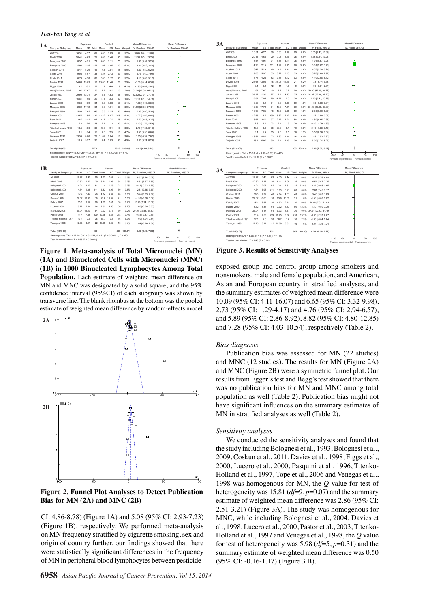*Hai-Yan Yang et al*

| 1А         |                                                                                                                                                                      |             | Exposure |               |               | Control    |      |                 | <b>Mean Difference</b>       | <b>Mean Difference</b>                  |
|------------|----------------------------------------------------------------------------------------------------------------------------------------------------------------------|-------------|----------|---------------|---------------|------------|------|-----------------|------------------------------|-----------------------------------------|
|            | Study or Subgroup                                                                                                                                                    | Mean        |          | SD Total Mean |               |            |      | SD Total Weight | IV, Random, 95% CI           | IV, Random, 95% CI                      |
|            | Ali 2008                                                                                                                                                             | 16.51       | 4.27     | 69            | 5.86          | 3.09       | 69   | 5.2%            | 10.65 [9.41, 11.89]          |                                         |
|            | Bhall 2006                                                                                                                                                           | 20.41       | 4.63     | 29            | 9.03          | 2.46       | 35   | 5.0%            | 11.38 [9.51, 13.25]          | ŕ                                       |
|            | Bolognesi 1993                                                                                                                                                       | 8.57        | 4.91     | 71            | 6.66          | 3.11       | 75   | 5.2%            | 1.91 [0.57, 3.25]            |                                         |
|            | Bolognesi 2009                                                                                                                                                       | 4.98        | 2.15     | 211           | 1.97          | 1.05       | 60   | 5.3%            | 3.01 [2.62, 3.40]            |                                         |
|            | Coskun 2011                                                                                                                                                          | 8.47        | 5.29     | 46            | 4.1           | 3.81       | 48   | 5.0%            | 4.37 [2.50, 6.24]            |                                         |
|            | Costa 2006                                                                                                                                                           | 9.03        | 5.97     | 33            | 3.27          | 2.13       | 33   | 5.0%            | 5.76 [3.60, 7.92]            |                                         |
|            | Costa 2011                                                                                                                                                           | 6.76        | 4.28     | 83            | 2.66          | 2.12       | 93   | 5.2%            | 4.10 [3.08, 5.12]            |                                         |
|            | Davies 1998                                                                                                                                                          | 24.68 13.03 |          | 18            | 26.06         | 11.46      | 21   | 2.9%            | $-1.38$ [ $-9.14$ , 6.38]    |                                         |
|            | <b>Figgs 2000</b>                                                                                                                                                    | 9.1         | 6.2      | 12            | 11            | 4.8        | 9    | 4.1%            | $-1.90$ $[-6.61, 2.81]$      |                                         |
|            | Garaj-Vrhovac 2002                                                                                                                                                   | 61          | 17.47    | 10            | 7.7           | 3.2        | 20   | 2.0%            | 53.30 [42.38, 64.22]         |                                         |
|            | Joksic 1997                                                                                                                                                          | 39.92       | 12.31    | 27            | 7.1           | 4.53       | 35   | 4.0%            | 32.82 [27.94, 37.70]         |                                         |
|            | Kehdy 2007                                                                                                                                                           | 15.81       | 7.05     | 29            | 4.71          | 2.3        | 30   | 4.8%            | 11.10 [8.41, 13.79]          |                                         |
|            | Lucero 2000                                                                                                                                                          | 9.53        | 6.9      | 64            | 7.9           | 0.88       | 50   | 5.1%            | 1.63 [-0.08, 3.34]           |                                         |
|            | Marquez 2005                                                                                                                                                         | 42.89 17.72 |          | 64            | 10.9          | 7.01       | 30   | 3.9%            | 31.99 [26.98, 37.00]         |                                         |
|            | Pasquini 1996                                                                                                                                                        | 15.98       | 7.65     | 48            | 13.3          | 5.35       | 50   | 4.8%            | 2.68 [0.06, 5.30]            |                                         |
|            | Pastor 2003                                                                                                                                                          | 12.55       | 8.5      | 239           | 13.82         | 5.87       | 218  | 5.2%            | $-1.27$ [ $-2.60, 0.06$ ]    |                                         |
|            | Rohr 2010                                                                                                                                                            | 3.67        | 2.41     | 97            | 2.17          | 2.71       | 58   | 5.2%            | 1.50 [0.65, 2.35]            |                                         |
|            | Scarpato 1996                                                                                                                                                        | 7.3         | 2.6      | 23            | 7.4           | 3          | 20   | 5.1%            | $-0.10$ [ $-1.79$ , $1.59$ ] |                                         |
|            | Titenko-Holland 1997                                                                                                                                                 | 18.5        | 8.6      | 38            | 20.6          | 9.1        | 16   | 3.8%            | $-2.10$ [ $-7.33$ , $3.13$ ] |                                         |
|            | <b>Tope 2006</b>                                                                                                                                                     | 81          | 54       | 15            | 46            | 25         | 10   | 4 7%            | 3.50 [0.36, 6.64]            |                                         |
|            | Venegas 1998                                                                                                                                                         | 13.54       | 8.86     | 22            | 11.69         | 9.04       | 16   | 3.6%            | 1.85 [-3.92, 7.62]           |                                         |
|            | Zeliezic 2007                                                                                                                                                        | 13.4        | 5.97     | 30            | 7.4           | 2.03       | 30   | 4.9%            | 6.00 [3.74, 8.26]            |                                         |
|            | Total (95% CI)                                                                                                                                                       |             |          | 1278          |               |            | 1026 | 100.0%          | 6.82 [4.86, 8.78]            |                                         |
|            |                                                                                                                                                                      |             |          |               |               |            |      |                 |                              |                                         |
|            | Heterogeneity: Tau <sup>2</sup> = 18.92; Chi <sup>2</sup> = 695.20, df = 21 (P < 0.00001); l <sup>2</sup> = 97%<br>Test for overall effect: $Z = 6.82$ (P < 0.00001) |             |          |               |               |            |      |                 |                              | 100<br>$-50$<br>50<br>$-100$<br>0       |
|            |                                                                                                                                                                      |             |          |               |               |            |      |                 |                              | Favours experimental<br>Favours control |
|            |                                                                                                                                                                      |             |          |               |               |            |      |                 |                              |                                         |
| 1 <b>B</b> |                                                                                                                                                                      |             | Exposure |               |               | Control    |      |                 | <b>Mean Difference</b>       | Mean Difference                         |
|            | Study or Subgroup                                                                                                                                                    | Mean        |          |               | SD Total Mean |            |      | SD Total Weight | IV, Random, 95% CI           | IV. Random, 95% CI                      |
|            | Ali 2008                                                                                                                                                             | 12.72       | 3.48     | 69            | 4.35          | 2.44       | 12   | 9.3%            | 8.37 [6.76, 9.98]            | ٠                                       |
|            | Bhalli 2006                                                                                                                                                          | 12.62       | 1.47     | 29            | 6.11          | 1.95       | 35   | 9.7%            | 6.51 [5.67, 7.35]            | ŕ                                       |
|            | Bolognesi 2004                                                                                                                                                       | 4.21        | 2.07     | 51            | 3.4           | 1.53       | 24   | 9.7%            | $0.81$ [-0.03, 1.65]         |                                         |
|            | Bolognesi 2009                                                                                                                                                       | 4.64        | 1.98     | 211           | 1.83          | 0.97       | 60   | 9.8%            | 2.81 [2.45, 3.17]            |                                         |
|            | Coskun 2011                                                                                                                                                          | 10.3        | 7.39     | 46            | 4.84          | 4.07       | 48   | 8.8%            | 5.46 [3.03, 7.89]            |                                         |
|            | Davies 1998                                                                                                                                                          | 22.07       | 10.66    | 18            |               | 23.6 10.09 | 21   | 5.1%            | $-1.53$ [ $-8.08, 5.02$ ]    |                                         |
|            | Kehdy 2007                                                                                                                                                           | 15.1        | 6.57     | 29            | 4.62          | 2.41       | 30   | 8.7%            | 10.48 [7.94, 13.02]          |                                         |
|            | Lucero 2000                                                                                                                                                          | 8.72        | 5.84     | 64            | 7.32          | 4.53       | 50   | 9.2%            | 1.40 [-0.50, 3.30]           |                                         |
|            | Marquez 2005                                                                                                                                                         | 36.94       | 14.47    | 64            | 9.93          | 6.17       | 30   | 7.2%            | 27.01 [22.83, 31.19]         |                                         |
|            | Pastor 2003                                                                                                                                                          | 11.4        | 7.58     | 239           | 12.25         | 8.86       | 218  | 9.4%            | $-0.85$ $[-2.37, 0.67]$      |                                         |
|            | Titenko-Holland 1997                                                                                                                                                 | 17.1        | 7.6      | 38            | 18.7          | 7.6        | 16   | 6.9%            | $-1.60$ [ $-6.04$ , 2.84]    |                                         |
|            | Venegas 1998                                                                                                                                                         | 12.73       | 8.11     | 22            | 10.69         | 8.32       | 16   | 6.2%            | 2.04 [-3.26, 7.34]           |                                         |
|            |                                                                                                                                                                      |             |          |               |               |            |      |                 |                              |                                         |
|            | Total (95% CI)                                                                                                                                                       |             |          | 880           |               |            | 560  | 100.0%          | 5.08 [2.93, 7.23]            |                                         |
|            | Heterogeneity: Tau <sup>2</sup> = 12.18; Chi <sup>2</sup> = 332.55, df = 11 (P < 0.00001); l <sup>2</sup> = 97%                                                      |             |          |               |               |            |      |                 |                              | $-100$<br>$-50$<br>o<br>50<br>100       |
|            | Test for overall effect: $Z = 4.63$ (P < 0.00001)                                                                                                                    |             |          |               |               |            |      |                 |                              | Favours experimental<br>Favours control |
|            |                                                                                                                                                                      |             |          |               |               |            |      |                 |                              |                                         |

**Figure 1. Meta-analysis of Total Micronuclei (MN) (1A) and Binucleated Cells with Micronuclei (MNC) (1B) in 1000 Binucleated Lymphocytes Among Total Population.** Each estimate of weighted mean difference on MN and MNC was designated by a solid square, and the 95% confidence interval (95%CI) of each subgroup was shown by transverse line. The blank rhombus at the bottom was the pooled estimate of weighted mean difference by random-effects model



**Figure 2. Funnel Plot Analyses to Detect Publication Bias for MN (2A) and MNC (2B)**

CI: 4.86-8.78) (Figure 1A) and 5.08 (95% CI: 2.93-7.23) (Figure 1B), respectively. We performed meta-analysis on MN frequency stratified by cigarette smoking, sex and origin of country further, our findings showed that there were statistically significant differences in the frequency of MN in peripheral blood lymphocytes between pesticide-

| 3A |                                                                                  |       | Exposure    |     |               | Control |                 |                 | <b>Mean Difference</b>       | <b>Mean Difference</b>                     |
|----|----------------------------------------------------------------------------------|-------|-------------|-----|---------------|---------|-----------------|-----------------|------------------------------|--------------------------------------------|
|    | <b>Study or Subgroup</b>                                                         | Mean  |             |     | SD Total Mean |         |                 | SD Total Weight | IV. Fixed, 95% CI            | IV. Fixed, 95% CI                          |
|    | Ali 2008                                                                         | 16.51 | 4.27        | 69  | 5.86          | 3.09    | 69              | 0.0%            | 10.65 (9.41, 11.89)          |                                            |
|    | <b>Bhall 2006</b>                                                                | 20.41 | 4.63        | 29  | 9.03          | 2.46    | 35              | 0.0%            | 11.38 (9.51, 13.25)          |                                            |
|    | Bolognesi 1993                                                                   | 8.57  | 4.91        | 71  | 6.66          | 3.11    | 75              | 6.9%            | 1.91 (0.57, 3.25)            |                                            |
|    | Bolognesi 2009                                                                   | 4.98  | 2.15        | 211 | 1.97          | 1.05    | 60              | 80.6%           | 3.01 [2.62, 3.40]            |                                            |
|    | Coskun 2011                                                                      | 8.47  | 5.29        | 4R  | 4.1           | 3.81    | 48              | 3.6%            | 4.37 [2.50, 6.24]            |                                            |
|    | Costa 2006                                                                       | 9.03  | 5.97        | 33  | 3.27          | 2.13    | 33              | 0.0%            | 5.76 [3.60, 7.92]            |                                            |
|    | Costa 2011                                                                       | 6.76  | 4.28        | 83  | 2.66          | 2.12    | 93              | 0.0%            | 4.10 (3.08. 5.12)            |                                            |
|    | Davies 1998                                                                      | 24.68 | 13.03       | 18  | 26.06         | 11.46   | 21              | 0.2%            | $-1.38$ [ $-9.14$ , 6.38]    |                                            |
|    | <b>Figgs 2000</b>                                                                | 9.1   | 6.2         | 12  | 11            | 4.8     | 9               | 0.6%            | $-1.90$ [ $-6.61$ , $2.81$ ] |                                            |
|    | Garaj-Vrhovac 2002                                                               |       | 61 17.47    | 10  | 7.7           | 3.2     | 20              |                 | 0.0% 53.30 [42.38, 64.22]    |                                            |
|    | Joksic 1997                                                                      | 39.92 | 12.31       | 27  | 7.1           | 4.53    | 35              | 0.0%            | 32.82 [27.94, 37.70]         |                                            |
|    | Kehdy 2007                                                                       | 15.81 | 7.05        | 29  | 4.71          | 2.3     | 30              | 0.0%            | 11.10 [8.41, 13.79]          |                                            |
|    | Lucero 2000                                                                      | 9.53  | 6.9         | 64  | 7.9           | 0.88    | 50              | 4.3%            | 1.63 [-0.08, 3.34]           |                                            |
|    | Marquez 2005                                                                     | 42.89 | 17.72       | 64  | 10.9          | 7.01    | 30              |                 | 0.0% 31.99 [26.98, 37.00]    |                                            |
|    | Pasquini 1996                                                                    | 15.98 | 7.65        | 48  | 13.3          | 5.35    | 50              | 1.8%            | 2.68 [0.06, 5.30]            |                                            |
|    | Pastor 2003                                                                      | 12.55 | 8.5         | 239 | 13.82         | 5.87    | 218             | 0.0%            | $-1.27$ $[-2.60, 0.06]$      |                                            |
|    | <b>Rohr 2010</b>                                                                 | 3.67  | 2.41        | 97  | 2.17          | 2.71    | 58              | 0.0%            | 1.50 [0.65, 2.35]            |                                            |
|    | Scarpato 1996                                                                    | 7.3   | 2.6         | 23  | 7.4           | 3       | 20              | 0.0%            | $-0.10$ [ $-1.79$ , $1.59$ ] |                                            |
|    | Titenko-Holland 1997                                                             | 18.5  | 8.6         | 38  | 20.6          | 9.1     | 16              | 0.5%            | $-2.10$ [ $-7.33$ , $3.13$ ] |                                            |
|    | <b>Tope 2006</b>                                                                 | 8.1   | 5.4         | 15  | 4.6           | 2.5     | 10              | 1.3%            | 3.50 [0.36, 6.64]            |                                            |
|    | Venegas 1998                                                                     | 13.54 | 8.86        | 22  | 11.69         | 9.04    | 16              | 0.4%            | 1.85 [-3.92, 7.62]           |                                            |
|    | Zeljezic 2007                                                                    | 13.4  | 5.97        | 30  | 7.4           | 2.03    | 30              | 0.0%            | 6.00 [3.74, 8.26]            |                                            |
|    | Total (95% CI)                                                                   |       |             | 545 |               |         | 355             | 100.0%          | 2.86 [2.51, 3.21]            |                                            |
|    | Heterogeneity: Chi <sup>2</sup> = 15.81, df = 9 (P = 0.07); l <sup>2</sup> = 43% |       |             |     |               |         |                 |                 |                              | $-100$<br>$-50$<br>100<br>$^{\circ}$<br>50 |
|    | Test for overall effect: $Z = 15.87$ (P < 0.00001)                               |       |             |     |               |         |                 |                 |                              | Favours experimental<br>Favours control    |
|    |                                                                                  |       |             |     |               |         |                 |                 |                              |                                            |
| 3A |                                                                                  |       | Exposure    |     |               | Control |                 |                 | <b>Mean Difference</b>       | <b>Mean Difference</b>                     |
|    | Study or Subgroup                                                                | Mean  |             |     | SD Total Mean |         |                 | SD Total Weight | IV, Fixed, 95% CI            | IV. Fixed, 95% CI                          |
|    | Ali 2008                                                                         | 12.72 | 3.48        | 69  | 4.35          | 2.44    | 12              | 0.0%            | 8.37 [6.76, 9.98]            |                                            |
|    | Bhalli 2006                                                                      | 12.62 | 1.47        | 29  | 6.11          | 1.95    | 35              | 0.0%            | 6.51 [5.67, 7.35]            |                                            |
|    | Bolognesi 2004                                                                   | 4.21  | 2.07        | 51  | 3.4           | 1.53    | 24              | 63.6%           | $0.81$ [-0.03, 1.65]         |                                            |
|    | Bolognesi 2009                                                                   | 4.64  | 1.98        | 211 | 1.83          | 0.97    | 60              | 0.0%            | 2.81 [2.45, 3.17]            |                                            |
|    | Coskun 2011                                                                      | 10.3  | 7.39        | 46  | 4.84          | 4.07    | 48              | 0.0%            | 5.46 (3.03. 7.89)            |                                            |
|    | Davies 1998                                                                      | 22.07 | 10.66       | 18  | 23.6          | 10.09   | 21              | 1.0%            | $-1.53$ [ $-8.08, 5.02$ ]    |                                            |
|    | Kehdy 2007                                                                       | 15.1  | 6.57        | 29  | 4.62          | 2.41    | 30              | 0.0%            | 10.48 [7.94, 13.02]          |                                            |
|    | Lucero 2000                                                                      | 8.72  | 5.84        | 64  | 7.32          | 4.53    | 50              | 12.2%           | 1.40 [-0.50, 3.30]           |                                            |
|    | Marquez 2005                                                                     |       | 36.94 14.47 | 64  | 9.93          | 6.17    | 30 <sub>0</sub> |                 | 0.0% 27.01 [22.83, 31.19]    |                                            |
|    | Pastor 2003                                                                      | 11.4  | 7.58        | 239 | 12.25         | 8.86    | 218             | 19.2%           | $-0.85$ $[-2.37, 0.67]$      |                                            |
|    | Titenko-Holland 1997                                                             | 171   | 76          | 38  | 18.7          | 7.6     | 16              | 2.3%            | $-1.60$ $[-6.04, 2.84]$      |                                            |
|    | Venegas 1998                                                                     | 12.73 | 8.11        | 22  | 10.69         | 8.32    | 16              | 1.6%            | 2.04 [-3.26, 7.34]           |                                            |
|    |                                                                                  |       |             |     |               |         |                 |                 |                              |                                            |
|    | Total (95% CI)                                                                   |       |             | 432 |               |         | 345             | 100.0%          | $0.50$ [-0.16, 1.17]         |                                            |
|    | Heterogeneity: Chi <sup>2</sup> = 5.98, df = 5 (P = 0.31); $I^2$ = 16%           |       |             |     |               |         |                 |                 |                              | $-100$<br>$-50$<br>50<br>100<br>Ò          |
|    | Test for overall effect: $Z = 1.48$ (P = 0.14)                                   |       |             |     |               |         |                 |                 |                              | Favours experimental Favours control       |

**Figure 3. Results of Sensitivity Analyses**

exposed group and control group among smokers and nonsmokers, male and female population, and American, Asian and European country in stratified analyses, and the summary estimates of weighted mean difference were 10.09 (95% CI: 4.11-16.07) and 6.65 (95% CI: 3.32-9.98), 2.73 (95% CI: 1.29-4.17) and 4.76 (95% CI: 2.94-6.57), and 5.89 (95% CI: 2.86-8.92), 8.82 (95% CI: 4.80-12.85) and 7.28 (95% CI: 4.03-10.54), respectively (Table 2).

#### *Bias diagnosis*

Publication bias was assessed for MN (22 studies) and MNC (12 studies). The results for MN (Figure 2A) and MNC (Figure 2B) were a symmetric funnel plot. Our results from Egger's test and Begg's test showed that there was no publication bias for MN and MNC among total population as well (Table 2). Publication bias might not have significant influences on the summary estimates of MN in stratified analyses as well (Table 2).

#### *Sensitivity analyses*

We conducted the sensitivity analyses and found that the study including Bolognesi et al., 1993, Bolognesi et al., 2009, Coskun et al., 2011, Davies et al., 1998, Figgs et al., 2000, Lucero et al., 2000, Pasquini et al., 1996, Titenko-Holland et al., 1997, Tope et al., 2006 and Venegas et al., 1998 was homogenous for MN, the *Q* value for test of heterogeneity was 15.81 (*df*=9, *p*=0.07) and the summary estimate of weighted mean difference was 2.86 (95% CI: 2.51-3.21) (Figure 3A). The study was homogenous for MNC, while including Bolognesi et al., 2004, Davies et al., 1998, Lucero et al., 2000, Pastor et al., 2003, Titenko-Holland et al., 1997 and Venegas et al., 1998, the *Q* value for test of heterogeneity was 5.98 (*df*=5, *p*=0.31) and the summary estimate of weighted mean difference was 0.50 (95% CI: -0.16-1.17) (Figure 3 B).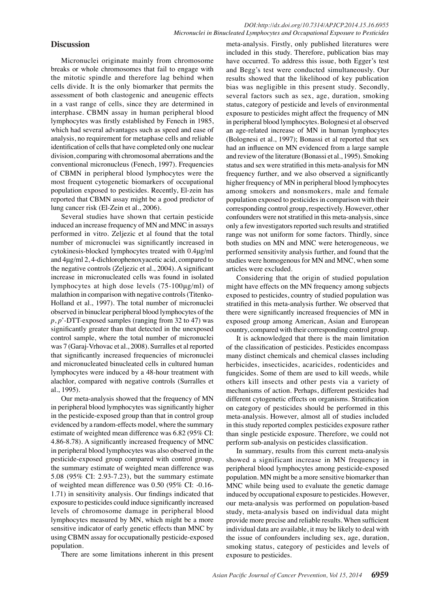# **Discussion**

Micronuclei originate mainly from chromosome breaks or whole chromosomes that fail to engage with the mitotic spindle and therefore lag behind when cells divide. It is the only biomarker that permits the assessment of both clastogenic and aneugenic effects in a vast range of cells, since they are determined in interphase. CBMN assay in human peripheral blood lymphocytes was firstly established by Fenech in 1985, which had several advantages such as speed and ease of analysis, no requirement for metaphase cells and reliable identification of cells that have completed only one nuclear division, comparing with chromosomal aberrations and the conventional micronucleus (Fenech, 1997). Frequencies of CBMN in peripheral blood lymphocytes were the most frequent cytogenetic biomarkers of occupational population exposed to pesticides. Recently, El-zein has reported that CBMN assay might be a good predictor of lung cancer risk (El-Zein et al., 2006).

Several studies have shown that certain pesticide induced an increase frequency of MN and MNC in assays performed in vitro. Zeljezic et al found that the total number of micronuclei was significantly increased in cytokinesis-blocked lymphocytes treated with 0.4μg/ml and 4μg/ml 2, 4-dichlorophenoxyacetic acid, compared to the negative controls (Zeljezic et al., 2004). A significant increase in micronucleated cells was found in isolated lymphocytes at high dose levels (75-100μg/ml) of malathion in comparison with negative controls (Titenko-Holland et al., 1997). The total number of micronuclei observed in binuclear peripheral blood lymphocytes of the *p*, *p*'-DTT-exposed samples (ranging from 32 to 47) was significantly greater than that detected in the unexposed control sample, where the total number of micronuclei was 7 (Garaj-Vrhovac et al., 2008). Surralles et al reported that significantly increased frequencies of micronuclei and micronucleated binucleated cells in cultured human lymphocytes were induced by a 48-hour treatment with alachlor, compared with negative controls (Surralles et al., 1995).

Our meta-analysis showed that the frequency of MN in peripheral blood lymphocytes was significantly higher in the pesticide-exposed group than that in control group evidenced by a random-effects model, where the summary estimate of weighted mean difference was 6.82 (95% CI: 4.86-8.78). A significantly increased frequency of MNC in peripheral blood lymphocytes was also observed in the pesticide-exposed group compared with control group, the summary estimate of weighted mean difference was 5.08 (95% CI: 2.93-7.23), but the summary estimate of weighted mean difference was 0.50 (95% CI: -0.16- 1.71) in sensitivity analysis. Our findings indicated that exposure to pesticides could induce significantly increased levels of chromosome damage in peripheral blood lymphocytes measured by MN, which might be a more sensitive indicator of early genetic effects than MNC by using CBMN assay for occupationally pesticide-exposed population.

There are some limitations inherent in this present

meta-analysis. Firstly, only published literatures were included in this study. Therefore, publication bias may have occurred. To address this issue, both Egger's test and Begg's test were conducted simultaneously. Our results showed that the likelihood of key publication bias was negligible in this present study. Secondly, several factors such as sex, age, duration, smoking status, category of pesticide and levels of environmental exposure to pesticides might affect the frequency of MN in peripheral blood lymphocytes. Bolognesi et al observed an age-related increase of MN in human lymphocytes (Bolognesi et al., 1997); Bonassi et al reported that sex had an influence on MN evidenced from a large sample and review of the literature (Bonassi et al., 1995). Smoking status and sex were stratified in this meta-analysis for MN frequency further, and we also observed a significantly higher frequency of MN in peripheral blood lymphocytes among smokers and nonsmokers, male and female population exposed to pesticides in comparison with their corresponding control group, respectively. However, other confounders were not stratified in this meta-analysis, since only a few investigators reported such results and stratified range was not uniform for some factors. Thirdly, since both studies on MN and MNC were heterogeneous, we performed sensitivity analysis further, and found that the studies were homogenous for MN and MNC, when some articles were excluded.

Considering that the origin of studied population might have effects on the MN frequency among subjects exposed to pesticides, country of studied population was stratified in this meta-analysis further. We observed that there were significantly increased frequencies of MN in exposed group among American, Asian and European country, compared with their corresponding control group.

It is acknowledged that there is the main limitation of the classification of pesticides. Pesticides encompass many distinct chemicals and chemical classes including herbicides, insecticides, acaricides, rodenticides and fungicides. Some of them are used to kill weeds, while others kill insects and other pests via a variety of mechanisms of action. Perhaps, different pesticides had different cytogenetic effects on organisms. Stratification on category of pesticides should be performed in this meta-analysis. However, almost all of studies included in this study reported complex pesticides exposure rather than single pesticide exposure. Therefore, we could not perform sub-analysis on pesticides classification.

In summary, results from this current meta-analysis showed a significant increase in MN frequency in peripheral blood lymphocytes among pesticide-exposed population. MN might be a more sensitive biomarker than MNC while being used to evaluate the genetic damage induced by occupational exposure to pesticides. However, our meta-analysis was performed on population-based study, meta-analysis based on individual data might provide more precise and reliable results. When sufficient individual data are available, it may be likely to deal with the issue of confounders including sex, age, duration, smoking status, category of pesticides and levels of exposure to pesticides.